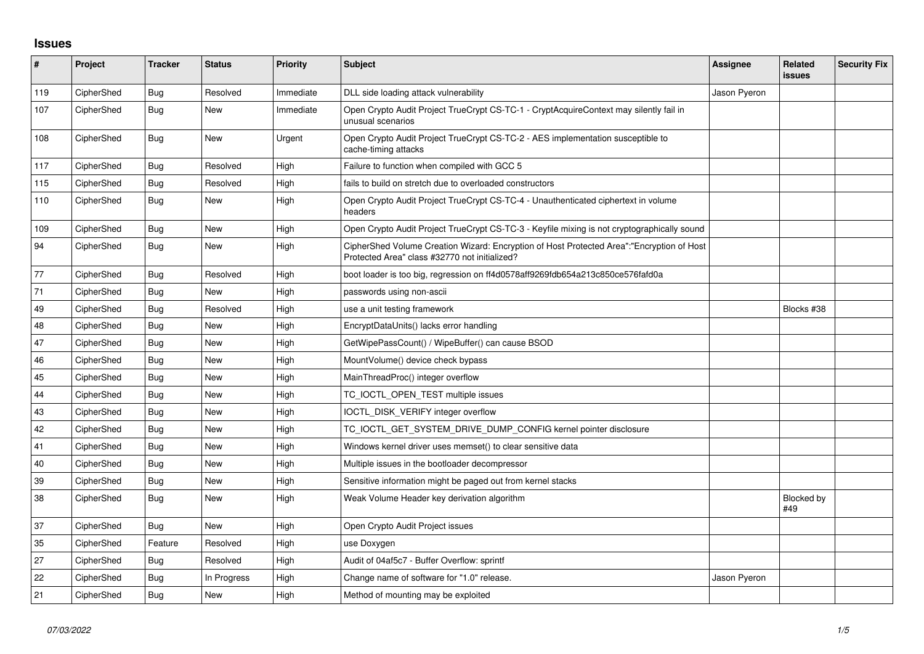## **Issues**

| #   | Project    | <b>Tracker</b> | <b>Status</b> | <b>Priority</b> | <b>Subject</b>                                                                                                                             | Assignee     | Related<br>issues | <b>Security Fix</b> |
|-----|------------|----------------|---------------|-----------------|--------------------------------------------------------------------------------------------------------------------------------------------|--------------|-------------------|---------------------|
| 119 | CipherShed | <b>Bug</b>     | Resolved      | Immediate       | DLL side loading attack vulnerability                                                                                                      | Jason Pyeron |                   |                     |
| 107 | CipherShed | <b>Bug</b>     | <b>New</b>    | Immediate       | Open Crypto Audit Project TrueCrypt CS-TC-1 - CryptAcquireContext may silently fail in<br>unusual scenarios                                |              |                   |                     |
| 108 | CipherShed | <b>Bug</b>     | <b>New</b>    | Urgent          | Open Crypto Audit Project TrueCrypt CS-TC-2 - AES implementation susceptible to<br>cache-timing attacks                                    |              |                   |                     |
| 117 | CipherShed | <b>Bug</b>     | Resolved      | High            | Failure to function when compiled with GCC 5                                                                                               |              |                   |                     |
| 115 | CipherShed | <b>Bug</b>     | Resolved      | High            | fails to build on stretch due to overloaded constructors                                                                                   |              |                   |                     |
| 110 | CipherShed | Bug            | <b>New</b>    | High            | Open Crypto Audit Project TrueCrypt CS-TC-4 - Unauthenticated ciphertext in volume<br>headers                                              |              |                   |                     |
| 109 | CipherShed | Bug            | <b>New</b>    | High            | Open Crypto Audit Project TrueCrypt CS-TC-3 - Keyfile mixing is not cryptographically sound                                                |              |                   |                     |
| 94  | CipherShed | Bug            | <b>New</b>    | High            | CipherShed Volume Creation Wizard: Encryption of Host Protected Area":"Encryption of Host<br>Protected Area" class #32770 not initialized? |              |                   |                     |
| 77  | CipherShed | Bug            | Resolved      | High            | boot loader is too big, regression on ff4d0578aff9269fdb654a213c850ce576fafd0a                                                             |              |                   |                     |
| 71  | CipherShed | Bug            | <b>New</b>    | High            | passwords using non-ascii                                                                                                                  |              |                   |                     |
| 49  | CipherShed | Bug            | Resolved      | High            | use a unit testing framework                                                                                                               |              | Blocks #38        |                     |
| 48  | CipherShed | Bug            | <b>New</b>    | High            | EncryptDataUnits() lacks error handling                                                                                                    |              |                   |                     |
| 47  | CipherShed | <b>Bug</b>     | <b>New</b>    | High            | GetWipePassCount() / WipeBuffer() can cause BSOD                                                                                           |              |                   |                     |
| 46  | CipherShed | <b>Bug</b>     | <b>New</b>    | High            | MountVolume() device check bypass                                                                                                          |              |                   |                     |
| 45  | CipherShed | Bug            | <b>New</b>    | High            | MainThreadProc() integer overflow                                                                                                          |              |                   |                     |
| 44  | CipherShed | Bug            | New           | High            | TC_IOCTL_OPEN_TEST multiple issues                                                                                                         |              |                   |                     |
| 43  | CipherShed | <b>Bug</b>     | <b>New</b>    | High            | IOCTL DISK VERIFY integer overflow                                                                                                         |              |                   |                     |
| 42  | CipherShed | Bug            | <b>New</b>    | High            | TC_IOCTL_GET_SYSTEM_DRIVE_DUMP_CONFIG kernel pointer disclosure                                                                            |              |                   |                     |
| 41  | CipherShed | <b>Bug</b>     | New           | High            | Windows kernel driver uses memset() to clear sensitive data                                                                                |              |                   |                     |
| 40  | CipherShed | Bug            | New           | High            | Multiple issues in the bootloader decompressor                                                                                             |              |                   |                     |
| 39  | CipherShed | Bug            | <b>New</b>    | High            | Sensitive information might be paged out from kernel stacks                                                                                |              |                   |                     |
| 38  | CipherShed | <b>Bug</b>     | <b>New</b>    | High            | Weak Volume Header key derivation algorithm                                                                                                |              | Blocked by<br>#49 |                     |
| 37  | CipherShed | <b>Bug</b>     | <b>New</b>    | High            | Open Crypto Audit Project issues                                                                                                           |              |                   |                     |
| 35  | CipherShed | Feature        | Resolved      | High            | use Doxygen                                                                                                                                |              |                   |                     |
| 27  | CipherShed | <b>Bug</b>     | Resolved      | High            | Audit of 04af5c7 - Buffer Overflow: sprintf                                                                                                |              |                   |                     |
| 22  | CipherShed | Bug            | In Progress   | High            | Change name of software for "1.0" release.                                                                                                 | Jason Pyeron |                   |                     |
| 21  | CipherShed | Bug            | New           | High            | Method of mounting may be exploited                                                                                                        |              |                   |                     |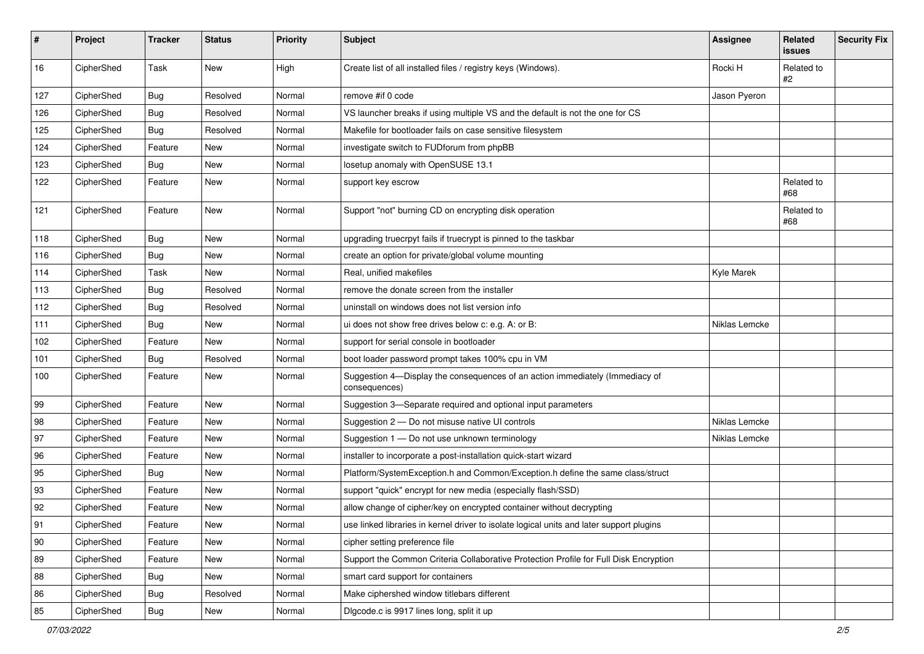| #            | Project    | <b>Tracker</b> | <b>Status</b> | Priority | <b>Subject</b>                                                                                | Assignee      | Related<br>issues | <b>Security Fix</b> |
|--------------|------------|----------------|---------------|----------|-----------------------------------------------------------------------------------------------|---------------|-------------------|---------------------|
| 16           | CipherShed | Task           | New           | High     | Create list of all installed files / registry keys (Windows).                                 | Rocki H       | Related to<br>#2  |                     |
| 127          | CipherShed | <b>Bug</b>     | Resolved      | Normal   | remove #if 0 code                                                                             | Jason Pyeron  |                   |                     |
| 126          | CipherShed | <b>Bug</b>     | Resolved      | Normal   | VS launcher breaks if using multiple VS and the default is not the one for CS                 |               |                   |                     |
| 125          | CipherShed | <b>Bug</b>     | Resolved      | Normal   | Makefile for bootloader fails on case sensitive filesystem                                    |               |                   |                     |
| 124          | CipherShed | Feature        | New           | Normal   | investigate switch to FUDforum from phpBB                                                     |               |                   |                     |
| 123          | CipherShed | Bug            | New           | Normal   | losetup anomaly with OpenSUSE 13.1                                                            |               |                   |                     |
| 122          | CipherShed | Feature        | New           | Normal   | support key escrow                                                                            |               | Related to<br>#68 |                     |
| 121          | CipherShed | Feature        | New           | Normal   | Support "not" burning CD on encrypting disk operation                                         |               | Related to<br>#68 |                     |
| 118          | CipherShed | <b>Bug</b>     | New           | Normal   | upgrading truecrpyt fails if truecrypt is pinned to the taskbar                               |               |                   |                     |
| 116          | CipherShed | <b>Bug</b>     | New           | Normal   | create an option for private/global volume mounting                                           |               |                   |                     |
| 114          | CipherShed | Task           | New           | Normal   | Real, unified makefiles                                                                       | Kyle Marek    |                   |                     |
| 113          | CipherShed | <b>Bug</b>     | Resolved      | Normal   | remove the donate screen from the installer                                                   |               |                   |                     |
| 112          | CipherShed | <b>Bug</b>     | Resolved      | Normal   | uninstall on windows does not list version info                                               |               |                   |                     |
| 111          | CipherShed | <b>Bug</b>     | New           | Normal   | ui does not show free drives below c: e.g. A: or B:                                           | Niklas Lemcke |                   |                     |
| 102          | CipherShed | Feature        | New           | Normal   | support for serial console in bootloader                                                      |               |                   |                     |
| 101          | CipherShed | Bug            | Resolved      | Normal   | boot loader password prompt takes 100% cpu in VM                                              |               |                   |                     |
| 100          | CipherShed | Feature        | New           | Normal   | Suggestion 4-Display the consequences of an action immediately (Immediacy of<br>consequences) |               |                   |                     |
| 99           | CipherShed | Feature        | New           | Normal   | Suggestion 3-Separate required and optional input parameters                                  |               |                   |                     |
| 98           | CipherShed | Feature        | New           | Normal   | Suggestion 2 - Do not misuse native UI controls                                               | Niklas Lemcke |                   |                     |
| 97           | CipherShed | Feature        | New           | Normal   | Suggestion 1 - Do not use unknown terminology                                                 | Niklas Lemcke |                   |                     |
| 96           | CipherShed | Feature        | New           | Normal   | installer to incorporate a post-installation quick-start wizard                               |               |                   |                     |
| 95           | CipherShed | Bug            | New           | Normal   | Platform/SystemException.h and Common/Exception.h define the same class/struct                |               |                   |                     |
| 93           | CipherShed | Feature        | New           | Normal   | support "quick" encrypt for new media (especially flash/SSD)                                  |               |                   |                     |
| 92           | CipherShed | Feature        | New           | Normal   | allow change of cipher/key on encrypted container without decrypting                          |               |                   |                     |
| 91           | CipherShed | Feature        | New           | Normal   | use linked libraries in kernel driver to isolate logical units and later support plugins      |               |                   |                     |
| $ 90\rangle$ | CipherShed | Feature        | New           | Normal   | cipher setting preference file                                                                |               |                   |                     |
| 89           | CipherShed | Feature        | New           | Normal   | Support the Common Criteria Collaborative Protection Profile for Full Disk Encryption         |               |                   |                     |
| 88           | CipherShed | <b>Bug</b>     | New           | Normal   | smart card support for containers                                                             |               |                   |                     |
| 86           | CipherShed | Bug            | Resolved      | Normal   | Make ciphershed window titlebars different                                                    |               |                   |                     |
| 85           | CipherShed | Bug            | New           | Normal   | Digcode.c is 9917 lines long, split it up                                                     |               |                   |                     |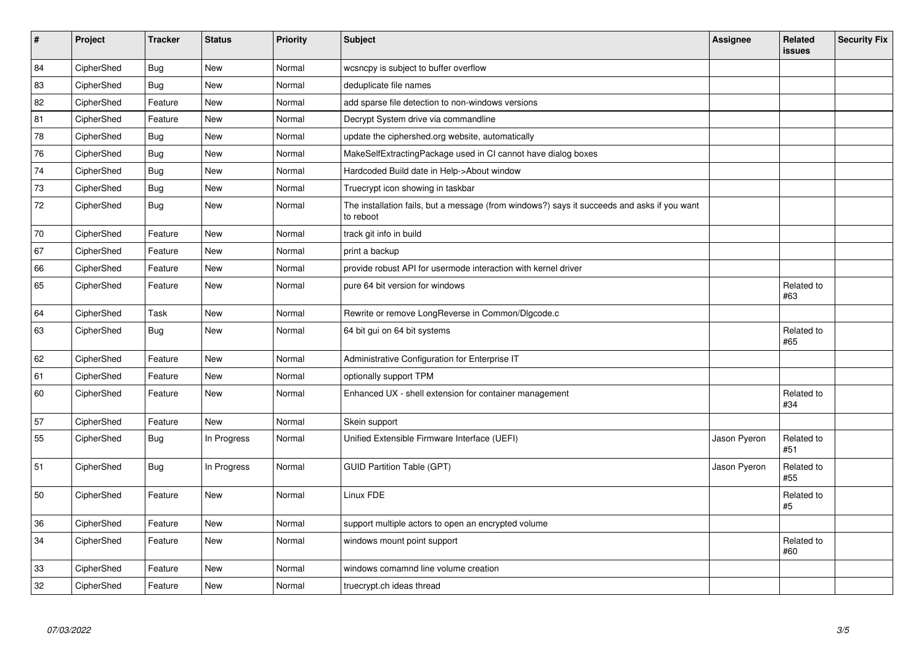| Project    | <b>Tracker</b> | <b>Status</b> | <b>Priority</b> | <b>Subject</b>                                                                                           | <b>Assignee</b> | Related<br><b>issues</b> | <b>Security Fix</b> |
|------------|----------------|---------------|-----------------|----------------------------------------------------------------------------------------------------------|-----------------|--------------------------|---------------------|
| CipherShed | <b>Bug</b>     | <b>New</b>    | Normal          | wcsncpy is subject to buffer overflow                                                                    |                 |                          |                     |
| CipherShed | <b>Bug</b>     | New           | Normal          | deduplicate file names                                                                                   |                 |                          |                     |
| CipherShed | Feature        | New           | Normal          | add sparse file detection to non-windows versions                                                        |                 |                          |                     |
| CipherShed | Feature        | <b>New</b>    | Normal          | Decrypt System drive via commandline                                                                     |                 |                          |                     |
| CipherShed | <b>Bug</b>     | <b>New</b>    | Normal          | update the ciphershed.org website, automatically                                                         |                 |                          |                     |
| CipherShed | <b>Bug</b>     | <b>New</b>    | Normal          | MakeSelfExtractingPackage used in CI cannot have dialog boxes                                            |                 |                          |                     |
| CipherShed | <b>Bug</b>     | <b>New</b>    | Normal          | Hardcoded Build date in Help->About window                                                               |                 |                          |                     |
| CipherShed | <b>Bug</b>     | New           | Normal          | Truecrypt icon showing in taskbar                                                                        |                 |                          |                     |
| CipherShed | <b>Bug</b>     | New           | Normal          | The installation fails, but a message (from windows?) says it succeeds and asks if you want<br>to reboot |                 |                          |                     |
| CipherShed | Feature        | <b>New</b>    | Normal          | track git info in build                                                                                  |                 |                          |                     |
| CipherShed | Feature        | New           | Normal          | print a backup                                                                                           |                 |                          |                     |
| CipherShed | Feature        | New           | Normal          | provide robust API for usermode interaction with kernel driver                                           |                 |                          |                     |
| CipherShed | Feature        | New           | Normal          | pure 64 bit version for windows                                                                          |                 | Related to<br>#63        |                     |
| CipherShed | Task           | <b>New</b>    | Normal          | Rewrite or remove LongReverse in Common/Dlgcode.c                                                        |                 |                          |                     |
| CipherShed | <b>Bug</b>     | New           | Normal          | 64 bit gui on 64 bit systems                                                                             |                 | Related to<br>#65        |                     |
| CipherShed | Feature        | <b>New</b>    | Normal          | Administrative Configuration for Enterprise IT                                                           |                 |                          |                     |
| CipherShed | Feature        | New           | Normal          | optionally support TPM                                                                                   |                 |                          |                     |
| CipherShed | Feature        | New           | Normal          | Enhanced UX - shell extension for container management                                                   |                 | Related to<br>#34        |                     |
| CipherShed | Feature        | New           | Normal          | Skein support                                                                                            |                 |                          |                     |
| CipherShed | Bug            | In Progress   | Normal          | Unified Extensible Firmware Interface (UEFI)                                                             | Jason Pyeron    | Related to<br>#51        |                     |
| CipherShed | <b>Bug</b>     | In Progress   | Normal          | <b>GUID Partition Table (GPT)</b>                                                                        | Jason Pyeron    | Related to<br>#55        |                     |
| CipherShed | Feature        | <b>New</b>    | Normal          | Linux FDE                                                                                                |                 | Related to<br>#5         |                     |
| CipherShed | Feature        | <b>New</b>    | Normal          | support multiple actors to open an encrypted volume                                                      |                 |                          |                     |
| CipherShed | Feature        | New           | Normal          | windows mount point support                                                                              |                 | Related to<br>#60        |                     |
| CipherShed | Feature        | New           | Normal          | windows comamnd line volume creation                                                                     |                 |                          |                     |
| CipherShed | Feature        | <b>New</b>    | Normal          | truecrypt.ch ideas thread                                                                                |                 |                          |                     |
|            |                |               |                 |                                                                                                          |                 |                          |                     |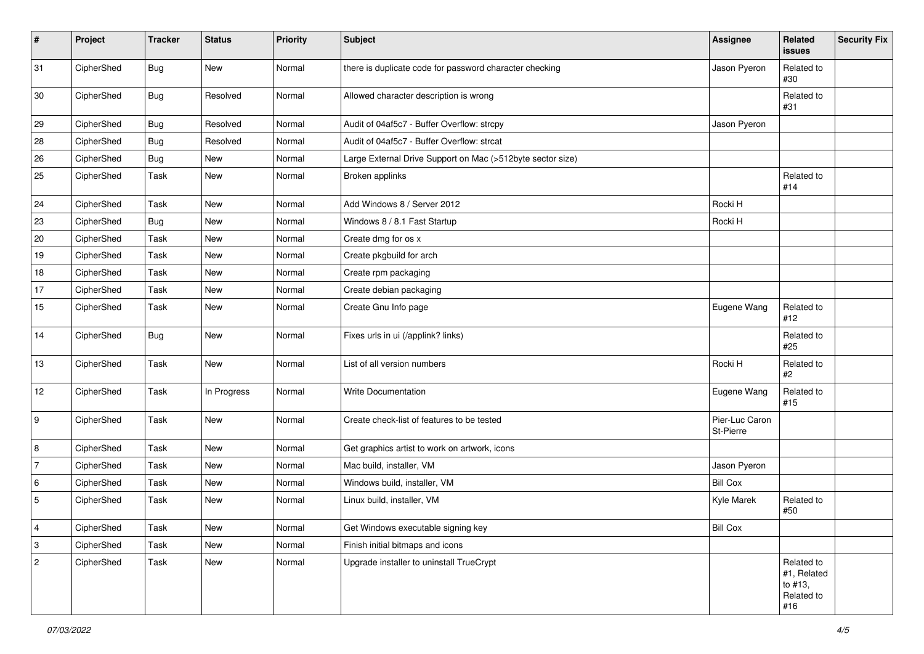| $\pmb{\#}$                | Project    | <b>Tracker</b> | <b>Status</b> | Priority | <b>Subject</b>                                             | <b>Assignee</b>             | Related<br>issues                                         | <b>Security Fix</b> |
|---------------------------|------------|----------------|---------------|----------|------------------------------------------------------------|-----------------------------|-----------------------------------------------------------|---------------------|
| 31                        | CipherShed | <b>Bug</b>     | New           | Normal   | there is duplicate code for password character checking    | Jason Pyeron                | Related to<br>#30                                         |                     |
| 30                        | CipherShed | <b>Bug</b>     | Resolved      | Normal   | Allowed character description is wrong                     |                             | Related to<br>#31                                         |                     |
| 29                        | CipherShed | Bug            | Resolved      | Normal   | Audit of 04af5c7 - Buffer Overflow: strcpy                 | Jason Pyeron                |                                                           |                     |
| 28                        | CipherShed | <b>Bug</b>     | Resolved      | Normal   | Audit of 04af5c7 - Buffer Overflow: strcat                 |                             |                                                           |                     |
| 26                        | CipherShed | <b>Bug</b>     | New           | Normal   | Large External Drive Support on Mac (>512byte sector size) |                             |                                                           |                     |
| 25                        | CipherShed | Task           | New           | Normal   | Broken applinks                                            |                             | Related to<br>#14                                         |                     |
| 24                        | CipherShed | Task           | New           | Normal   | Add Windows 8 / Server 2012                                | Rocki H                     |                                                           |                     |
| 23                        | CipherShed | <b>Bug</b>     | New           | Normal   | Windows 8 / 8.1 Fast Startup                               | Rocki H                     |                                                           |                     |
| 20                        | CipherShed | Task           | New           | Normal   | Create dmg for os x                                        |                             |                                                           |                     |
| 19                        | CipherShed | Task           | New           | Normal   | Create pkgbuild for arch                                   |                             |                                                           |                     |
| 18                        | CipherShed | Task           | New           | Normal   | Create rpm packaging                                       |                             |                                                           |                     |
| $17$                      | CipherShed | Task           | New           | Normal   | Create debian packaging                                    |                             |                                                           |                     |
| 15                        | CipherShed | Task           | New           | Normal   | Create Gnu Info page                                       | Eugene Wang                 | Related to<br>#12                                         |                     |
| 14                        | CipherShed | Bug            | New           | Normal   | Fixes urls in ui (/applink? links)                         |                             | Related to<br>#25                                         |                     |
| 13                        | CipherShed | Task           | New           | Normal   | List of all version numbers                                | Rocki H                     | Related to<br>#2                                          |                     |
| 12                        | CipherShed | Task           | In Progress   | Normal   | Write Documentation                                        | Eugene Wang                 | Related to<br>#15                                         |                     |
| 9                         | CipherShed | Task           | New           | Normal   | Create check-list of features to be tested                 | Pier-Luc Caron<br>St-Pierre |                                                           |                     |
| 8                         | CipherShed | Task           | New           | Normal   | Get graphics artist to work on artwork, icons              |                             |                                                           |                     |
| $\overline{7}$            | CipherShed | Task           | New           | Normal   | Mac build, installer, VM                                   | Jason Pyeron                |                                                           |                     |
| 6                         | CipherShed | Task           | New           | Normal   | Windows build, installer, VM                               | <b>Bill Cox</b>             |                                                           |                     |
| 5                         | CipherShed | Task           | New           | Normal   | Linux build, installer, VM                                 | Kyle Marek                  | Related to<br>#50                                         |                     |
| $\vert 4 \vert$           | CipherShed | Task           | New           | Normal   | Get Windows executable signing key                         | <b>Bill Cox</b>             |                                                           |                     |
| $\ensuremath{\mathsf{3}}$ | CipherShed | Task           | New           | Normal   | Finish initial bitmaps and icons                           |                             |                                                           |                     |
| $\sqrt{2}$                | CipherShed | Task           | New           | Normal   | Upgrade installer to uninstall TrueCrypt                   |                             | Related to<br>#1, Related<br>to #13,<br>Related to<br>#16 |                     |